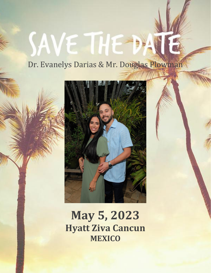## Dr. Evanelys Darias & Mr. Douglas Plowman

SAVE THE DAY



# **May 5, 2023 Hyatt Ziva Cancun MEXICO**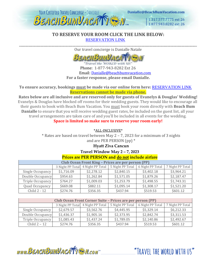

#### **TO RESERVE YOUR ROOM CLICK THE LINK BELOW:** [RESERVATION LINK](https://www.vacationcrm.com/IFrameRegistration/Group?lookupid=f04af814-d522-4b01-b822-4cdfa9b048e2&groupid=ba6b930a-821e-4cb6-adab-a426921ca719)

\_\_\_\_\_\_\_\_\_\_\_\_\_\_\_\_\_\_\_\_\_\_\_\_\_\_\_\_\_\_\_\_\_\_\_\_\_\_\_\_\_\_\_\_\_\_\_\_\_\_\_\_\_\_\_\_\_\_\_\_\_\_\_\_\_\_\_\_\_\_\_\_\_\_\_\_\_\_\_\_\_\_\_\_\_\_\_\_\_\_\_\_\_\_\_\_\_\_\_\_\_\_\_\_\_\_\_\_\_\_\_\_\_\_\_\_ Our travel concierge is Danialle Natale



Travel the WORLD with US' Phone: 1-877-943-8282 Ext 26 Email: [Danialle@beachbumvacation.com](mailto:Danialle@beachbumvacation.com) **For a faster response, please email Danialle.**

#### **To ensure accuracy, bookings must be made via our online form here:** [RESERVATION LINK](https://www.vacationcrm.com/IFrameRegistration/Group?lookupid=f04af814-d522-4b01-b822-4cdfa9b048e2&groupid=ba6b930a-821e-4cb6-adab-a426921ca719) **Reservations cannot be made via phone.**

**Rates below are all inclusive and are reserved only for guests of Evanelys & Douglas' Wedding!** Evanelys & Douglas have blocked off rooms for their wedding guests. They would like to encourage all their guests to book with Beach Bum Vacation. You must book your room directly with **Beach Bum Danialle** to ensure that you will receive wedding guest rates, be included on the guest list, all your travel arrangements are taken care of and you'll be included in all events for the wedding. **Space is limited so make sure to reserve your room early!**

\*ALL-INCLUSIVE\*

\* Rates are based on travel between May 2 – 7, 2023 for a minimum of 3 nights and are PER PERSON (pp) \*

#### **Hyatt Ziva Cancun**

**Travel Window May 2 – 7, 2023**

#### **Prices are PER PERSON and do not include airfare**

| <b>Club Ocean Front King - Prices are per person (PP)</b> |                  |                  |                  |                  |                  |  |
|-----------------------------------------------------------|------------------|------------------|------------------|------------------|------------------|--|
|                                                           | 3 Night PP Total | 4 Night PP Total | 5 Night PP Total | 6 Night PP Total | 7 Night PP Total |  |
| Single Occupancy                                          | \$1,716.09       | \$2,278.12       | \$2,840.15       | \$3,402.18       | \$3,964.21       |  |
| Double Occupancy                                          | \$954.63         | \$1,262.84       | \$1,571.05       | \$1,879.26       | \$2,187.47       |  |
| Triple Occupancy                                          | \$764.27         | \$1,009.03       | \$1,253.79       | \$1,498.55       | \$1,743.31       |  |
| Quad Occupancy                                            | \$669.08         | \$882.11         | \$1,095.14       | \$1,308.17       | \$1,521.20       |  |
| Child 2 - 12                                              | \$274.76         | \$356.35         | \$437.94         | \$519.53         | \$601.12         |  |

| <b>Club Ocean Front Corner Suite - Prices are per person (PP)</b> |            |                                   |                  |                  |                  |  |
|-------------------------------------------------------------------|------------|-----------------------------------|------------------|------------------|------------------|--|
|                                                                   |            | 3 Night PP Total 4 Night PP Total | 5 Night PP Total | 6 Night PP Total | 7 Night PP Total |  |
| Single Occupancy                                                  | \$2,679.57 | \$3,562.76                        | \$4,445.95       | \$5,329.14       | \$6,212.33       |  |
| Double Occupancy                                                  | \$1,436.37 | \$1,905.16                        | \$2,373.95       | \$2,842.74       | \$3,311.53       |  |
| Triple Occupancy                                                  | \$1,085.43 | \$1,437.24                        | \$1,789.05       | \$2,140.86       | \$2,492.67       |  |
| Child $2 - 12$                                                    | \$274.76   | \$356.35                          | \$437.94         | \$519.53         | \$601.12         |  |

www.BEACHBUMVACATTEN.com

"TRAVFI THE WORLD WITH US"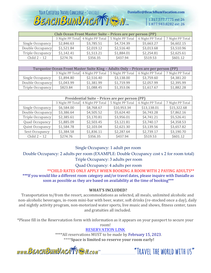#### YOUR CERTIFIED TRAVEL CONCIERGE - DANIALLE Danialle@BeachBumVacation.com **BEACHBUMVACATTESM.**

1.317.577.7775 ext 26 1.877.943.8282 ext 26

| <b>Club Ocean Front Master Suite - Prices are per person (PP)</b> |            |                                   |                  |                  |                  |  |
|-------------------------------------------------------------------|------------|-----------------------------------|------------------|------------------|------------------|--|
|                                                                   |            | 3 Night PP Total 4 Night PP Total | 5 Night PP Total | 6 Night PP Total | 7 Night PP Total |  |
| Single Occupancy                                                  | \$2,846.63 | \$3,785.51                        | \$4,724.39       | \$5,663.27       | \$6,602.15       |  |
| Double Occupancy                                                  | \$1,521.84 | \$2,019.12                        | \$2,516.40       | \$3,013.68       | \$3,510.96       |  |
| Triple Occupancy                                                  | \$1,142.41 | \$1,513.21                        | \$1,884.01       | \$2,254.81       | \$2,625.61       |  |
| Child $2 - 12$                                                    | \$274.76   | \$356.35                          | \$437.94         | \$519.53         | \$601.12         |  |

| Turquoize Ocean Front Master Suite King - Adults Only - Prices are per person (PP) |            |                                   |                  |                  |                  |  |
|------------------------------------------------------------------------------------|------------|-----------------------------------|------------------|------------------|------------------|--|
|                                                                                    |            | 3 Night PP Total 4 Night PP Total | 5 Night PP Total | 6 Night PP Total | 7 Night PP Total |  |
| Single Occupancy                                                                   | \$1,894.80 | \$2,516.40                        | \$3,138.00       | \$3,759.60       | \$4,381.20       |  |
| Double Occupancy                                                                   | \$1,043.99 | \$1,381.99                        | \$1,719.99       | \$2,057.99       | \$2,395.99       |  |
| Triple Occupancy                                                                   | \$823.84   | \$1,088.45                        | \$1,353.06       | \$1,617.67       | \$1,882.28       |  |

| Presidential Suite - Prices are per person (PP) |                  |                  |                  |                  |                  |  |
|-------------------------------------------------|------------------|------------------|------------------|------------------|------------------|--|
|                                                 | 3 Night PP Total | 4 Night PP Total | 5 Night PP Total | 6 Night PP Total | 7 Night PP Total |  |
| Single Occupancy                                | \$6,584.00       | \$8,768.67       | \$10,953.34      | \$13,138.01      | \$15,322.68      |  |
| Double Occupancy                                | \$3,386.64       | \$4,505.52       | \$5,624.40       | \$6,743.28       | \$7,862.16       |  |
| Triple Occupancy                                | \$2,385.61       | \$3,170.81       | \$3,956.01       | \$4,741.21       | \$5,526.41       |  |
| Quad Occupancy                                  | \$1,885.09       | \$2,503.45       | \$3,121.81       | \$3,740.17       | \$4,358.53       |  |
| Quint Occupancy                                 | \$1,584.78       | \$2,103.04       | \$2,621.30       | \$3,139.56       | \$3,657.82       |  |
| Sext Occupancy                                  | \$1,384.58       | \$1,836.11       | \$2,287.64       | \$2,739.17       | \$3,190.70       |  |
| Child $2 - 12$                                  | \$274.76         | \$356.35         | \$437.94         | \$519.53         | \$601.12         |  |

Single Occupancy: 1 adult per room

Double Occupancy: 2 adults per room (EXAMPLE: Double Occupancy cost x 2 for room total)

Triple Occupancy: 3 adults per room

Quad Occupancy: 4 adults per room

\*\*CHILD RATES ONLY APPLY WHEN BOOKING A ROOM WITH 2 PAYING ADULTS\*\* \*\*\*If you would like a different room category and/or travel dates, please inquire with Danialle as soon as possible as they are based on availability at the time of booking\*\*\*

#### **WHAT'S INCLUDED?**

Transportation to/from the resort, accommodations as selected, all meals, unlimited alcoholic and non-alcoholic beverages, in-room mini-bar with beer, water, soft drinks (re-stocked once a day), daily and nightly activity program, non-motorized water sports, live music and shows, fitness center, taxes and gratuities all included.

\*Please fill in the Reservatation form with information as it appears on your passport to secure your room!

#### [RESERVATION LINK](https://www.vacationcrm.com/IFrameRegistration/Group?lookupid=f04af814-d522-4b01-b822-4cdfa9b048e2&groupid=ba6b930a-821e-4cb6-adab-a426921ca719)

\*\*\*\*All reservations MUST to be made by February 15, 2023. \*\*\*\***Space is limited so reserve your room early!**

www.BEACHBUMVACATTEN.com

"TRAVEL THE WORLD WITH US"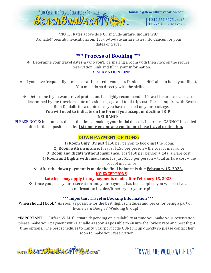

\*NOTE: Rates above do NOT include airfare. Inquire with Danialle@beachbumvacation.com for up-to-date airfare rates into Cancun for your dates of travel.

#### **\*\*\* Process of Booking** \*\*\*

- ❖ Determine your travel dates & who you'll be sharing a room with then click on the secure Reservation Link and fill in your information: [RESERVATION LINK](https://www.vacationcrm.com/IFrameRegistration/Group?lookupid=f04af814-d522-4b01-b822-4cdfa9b048e2&groupid=ba6b930a-821e-4cb6-adab-a426921ca719)
- ❖ If you have frequent flyer miles or airline credit vouchers Danialle is NOT able to book your flight. You must do so directly with the airline.

❖ Determine if you want travel protection. It's highly recommended! Travel insurance rates are determined by the travelers state of residence, age and total trip cost. Please inquire with Beach Bum Danialle for a quote once you have decided on your package.

#### **You will need to indicate on the form if you accept or decline TRIP INSURANCE.**

PLEASE NOTE: Insurance is due at the time of making your initial deposit. Insurance CANNOT be added after initial deposit is made. **I strongly encourage you to purchase travel protection.**

#### **DOWN PAYMENT OPTIONS:**

1) **Room Only**: It's just \$150 per person to book just the room. 2) **Room with insurance**: It's just \$150 per person + the cost of insurance 3) **Room and flights without insurance**: It's \$150 per person + total airfare cost. 4) **Room and flights with insurance**: It's just \$150 per person + total airfare cost + the cost of insurance

❖ **After the down payment is made the final balance is due February 15, 2023. NO EXCEPTIONS**

#### **Late fees may apply to any payments made after February 15, 2023**

❖ Once you place your reservation and your payment has been applied you will receive a confirmation invoice/itinerary for your trip!

#### **\*\*\* Important Travel & Booking Information \*\*\***

When should I book?: As soon as possible for the best flight schedules and perks for being a part of Evanelys & Douglas' Wedding Group!

\*IMPORTANT! -- Airfare WILL fluctuate depending on availability at time you make your reservation, please make your payment with Danialle as soon as possible to ensure the lowest rate and best flight time options. The best schedules to Cancun (airport code CUN) fill up quickly so please contact her soon to make your reservation.

www.BEACHBUMVACATTEN.com

"TRAVFI THE WORLD WITH US"